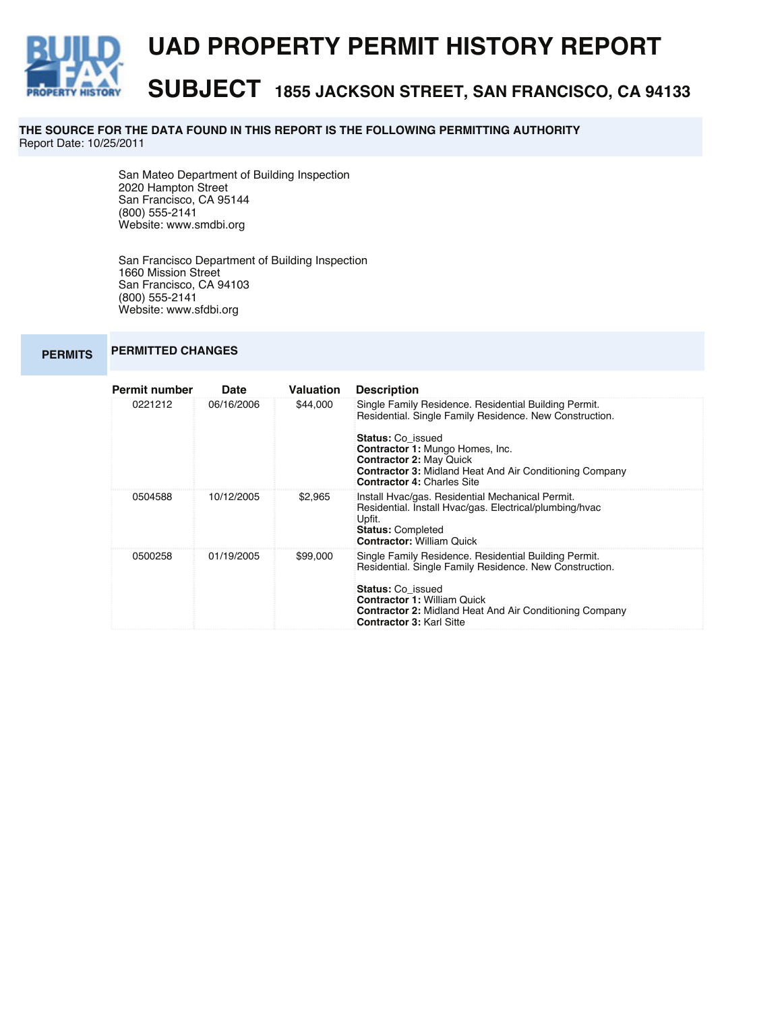

**THE SOURCE FOR THE DATA FOUND IN THIS REPORT IS THE FOLLOWING PERMITTING AUTHORITY**  Report Date: 10/25/2011

> San Mateo Department of Building Inspection 2020 Hampton Street San Francisco, CA 95144 (800) 555-2141 Website: www.smdbi.org

San Francisco Department of Building Inspection 1660 Mission Street San Francisco, CA 94103 (800) 555-2141 Website: www.sfdbi.org

## **PERMITS PERMITTED CHANGES**

| <b>Permit number</b> | Date       | Valuation | <b>Description</b>                                                                                                                                                                                                                                                                      |  |
|----------------------|------------|-----------|-----------------------------------------------------------------------------------------------------------------------------------------------------------------------------------------------------------------------------------------------------------------------------------------|--|
| 0221212              | 06/16/2006 | \$44,000  | Single Family Residence. Residential Building Permit.<br>Residential. Single Family Residence. New Construction.                                                                                                                                                                        |  |
|                      |            |           | <b>Status: Co issued</b><br><b>Contractor 1: Mungo Homes, Inc.</b><br><b>Contractor 2: May Quick</b><br><b>Contractor 3: Midland Heat And Air Conditioning Company</b><br><b>Contractor 4: Charles Site</b>                                                                             |  |
| 0504588              | 10/12/2005 | \$2.965   | Install Hvac/gas. Residential Mechanical Permit.<br>Residential. Install Hyac/gas. Electrical/plumbing/hyac<br>Upfit.<br><b>Status: Completed</b><br><b>Contractor: William Quick</b>                                                                                                   |  |
| 0500258              | 01/19/2005 | \$99,000  | Single Family Residence. Residential Building Permit.<br>Residential. Single Family Residence. New Construction.<br><b>Status: Co issued</b><br><b>Contractor 1: William Quick</b><br><b>Contractor 2: Midland Heat And Air Conditioning Company</b><br><b>Contractor 3: Karl Sitte</b> |  |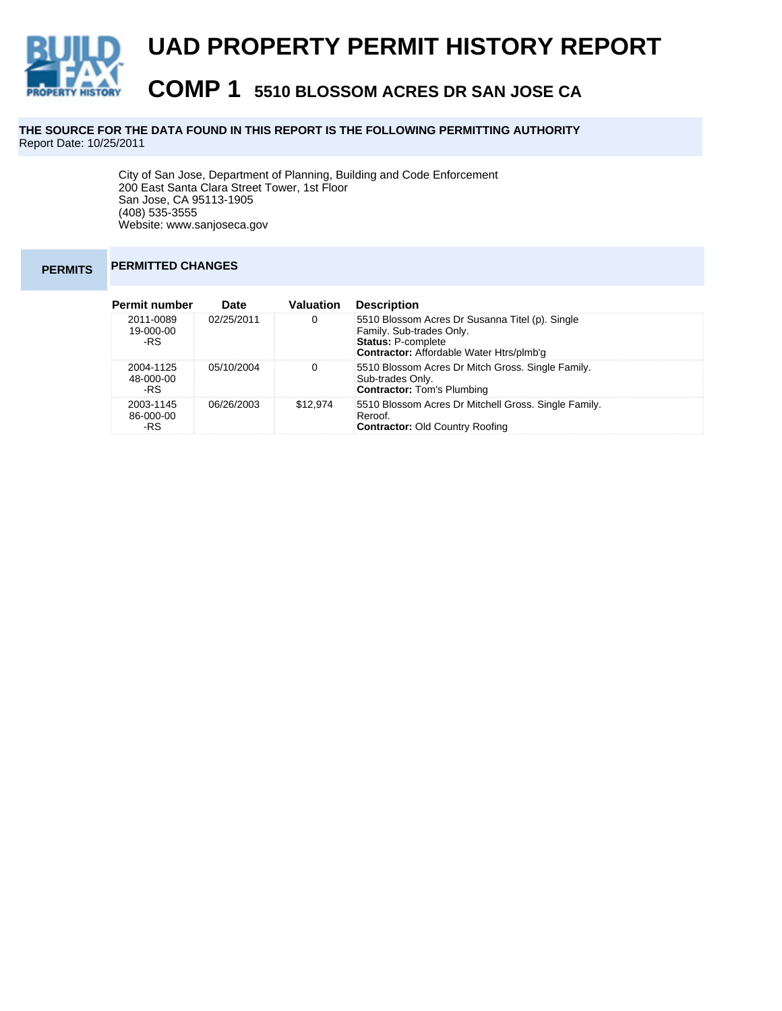

## **THE SOURCE FOR THE DATA FOUND IN THIS REPORT IS THE FOLLOWING PERMITTING AUTHORITY**  Report Date: 10/25/2011

City of San Jose, Department of Planning, Building and Code Enforcement 200 East Santa Clara Street Tower, 1st Floor San Jose, CA 95113-1905 (408) 535-3555 Website: www.sanjoseca.gov

## **PERMITS PERMITTED CHANGES**

| <b>Permit number</b>          | <b>Date</b> | Valuation | <b>Description</b>                                                                                                                                          |
|-------------------------------|-------------|-----------|-------------------------------------------------------------------------------------------------------------------------------------------------------------|
| 2011-0089<br>19-000-00<br>-RS | 02/25/2011  | 0         | 5510 Blossom Acres Dr Susanna Titel (p). Single<br>Family. Sub-trades Only.<br><b>Status: P-complete</b><br><b>Contractor:</b> Affordable Water Htrs/plmb'g |
| 2004-1125<br>48-000-00<br>-RS | 05/10/2004  | 0         | 5510 Blossom Acres Dr Mitch Gross. Single Family.<br>Sub-trades Only.<br><b>Contractor: Tom's Plumbing</b>                                                  |
| 2003-1145<br>86-000-00<br>-RS | 06/26/2003  | \$12,974  | 5510 Blossom Acres Dr Mitchell Gross. Single Family.<br>Reroof.<br><b>Contractor: Old Country Roofing</b>                                                   |